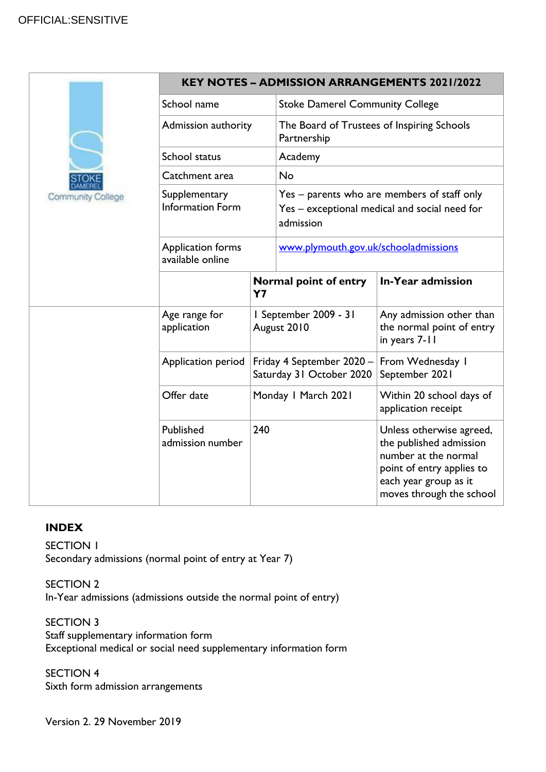# OFFICIAL:SENSITIVE

|                          | <b>KEY NOTES - ADMISSION ARRANGEMENTS 2021/2022</b> |                                                       |                                                                                                           |                                                                                                                                                               |  |
|--------------------------|-----------------------------------------------------|-------------------------------------------------------|-----------------------------------------------------------------------------------------------------------|---------------------------------------------------------------------------------------------------------------------------------------------------------------|--|
|                          | School name                                         |                                                       | <b>Stoke Damerel Community College</b>                                                                    |                                                                                                                                                               |  |
|                          | Admission authority                                 |                                                       | The Board of Trustees of Inspiring Schools<br>Partnership                                                 |                                                                                                                                                               |  |
|                          | School status                                       |                                                       | Academy                                                                                                   |                                                                                                                                                               |  |
|                          | Catchment area                                      |                                                       | No                                                                                                        |                                                                                                                                                               |  |
| <b>Community College</b> | Supplementary<br><b>Information Form</b>            |                                                       | Yes – parents who are members of staff only<br>Yes - exceptional medical and social need for<br>admission |                                                                                                                                                               |  |
|                          | <b>Application forms</b><br>available online        |                                                       | www.plymouth.gov.uk/schooladmissions                                                                      |                                                                                                                                                               |  |
|                          |                                                     | Normal point of entry<br>Y <sub>7</sub>               |                                                                                                           | In-Year admission                                                                                                                                             |  |
|                          | Age range for<br>application                        | I September 2009 - 31<br>August 2010                  |                                                                                                           | Any admission other than<br>the normal point of entry<br>in years 7-11                                                                                        |  |
|                          | Application period                                  | Friday 4 September 2020 -<br>Saturday 31 October 2020 |                                                                                                           | From Wednesday I<br>September 2021                                                                                                                            |  |
|                          | Offer date                                          |                                                       | Monday I March 2021                                                                                       | Within 20 school days of<br>application receipt                                                                                                               |  |
|                          | Published<br>admission number                       | 240                                                   |                                                                                                           | Unless otherwise agreed,<br>the published admission<br>number at the normal<br>point of entry applies to<br>each year group as it<br>moves through the school |  |

# **INDEX**

SECTION 1 Secondary admissions (normal point of entry at Year 7)

SECTION 2 In-Year admissions (admissions outside the normal point of entry)

SECTION 3 Staff supplementary information form Exceptional medical or social need supplementary information form

SECTION 4 Sixth form admission arrangements

Version 2. 29 November 2019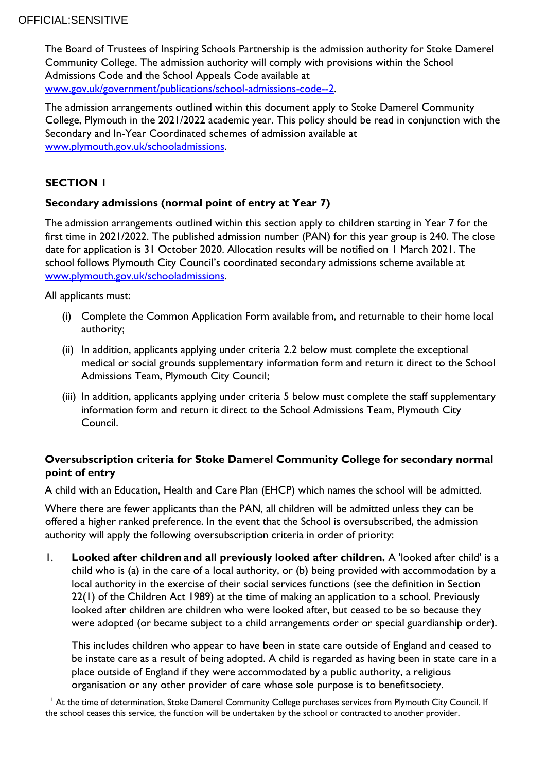The Board of Trustees of Inspiring Schools Partnership is the admission authority for Stoke Damerel Community College. The admission authority will comply with provisions within the School Admissions Code and the School Appeals Code available at [www.gov.uk/government/publications/school-admissions-code--2](http://www.gov.uk/government/publications/school-admissions-code--2)[.](http://www.gov.uk/government/publications/school-admissions-code)

The admission arrangements outlined within this document apply to Stoke Damerel Community College, Plymouth in the 2021/2022 academic year. This policy should be read in conjunction with the Secondary and In-Year Coordinated schemes of admission available at [www.plymouth.gov.uk/schooladmissions.](http://www.plymouth.gov.uk/schooladmissions)

# **SECTION 1**

## **Secondary admissions (normal point of entry at Year 7)**

The admission arrangements outlined within this section apply to children starting in Year 7 for the first time in 2021/2022. The published admission number (PAN) for this year group is 240. The close date for application is 31 October 2020. Allocation results will be notified on 1 March 2021. The school follows Plymouth City Council's coordinated secondary admissions scheme available at [www.plymouth.gov.uk/schooladmissions.](http://www.plymouth.gov.uk/schooladmissions)

All applicants must:

- (i) Complete the Common Application Form available from, and returnable to their home local authority;
- (ii) In addition, applicants applying under criteria 2.2 below must complete the exceptional medical or social grounds supplementary information form and return it direct to the School Admissions Team, Plymouth City Council;
- (iii) In addition, applicants applying under criteria 5 below must complete the staff supplementary information form and return it direct to the School Admissions Team, Plymouth City Council.

# **Oversubscription criteria for Stoke Damerel Community College for secondary normal point of entry**

A child with an Education, Health and Care Plan (EHCP) which names the school will be admitted.

Where there are fewer applicants than the PAN, all children will be admitted unless they can be offered a higher ranked preference. In the event that the School is oversubscribed, the admission authority will apply the following oversubscription criteria in order of priority:

1. **Looked after children and all previously looked after children.** A 'looked after child' is a child who is (a) in the care of a local authority, or (b) being provided with accommodation by a local authority in the exercise of their social services functions (see the definition in Section 22(1) of the Children Act 1989) at the time of making an application to a school. Previously looked after children are children who were looked after, but ceased to be so because they were adopted (or became subject to a child arrangements order or special guardianship order).

This includes children who appear to have been in state care outside of England and ceased to be instate care as a result of being adopted. A child is regarded as having been in state care in a place outside of England if they were accommodated by a public authority, a religious organisation or any other provider of care whose sole purpose is to benefitsociety.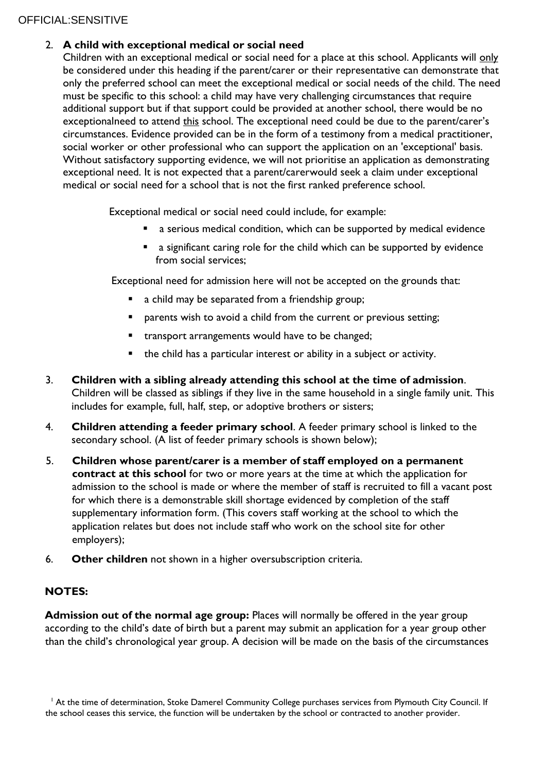# OFFICIAL:SENSITIVE

# 2. **A child with exceptional medical or social need**

Children with an exceptional medical or social need for a place at this school. Applicants will only be considered under this heading if the parent/carer or their representative can demonstrate that only the preferred school can meet the exceptional medical or social needs of the child. The need must be specific to this school: a child may have very challenging circumstances that require additional support but if that support could be provided at another school, there would be no exceptionalneed to attend this school. The exceptional need could be due to the parent/carer's circumstances. Evidence provided can be in the form of a testimony from a medical practitioner, social worker or other professional who can support the application on an 'exceptional' basis. Without satisfactory supporting evidence, we will not prioritise an application as demonstrating exceptional need. It is not expected that a parent/carerwould seek a claim under exceptional medical or social need for a school that is not the first ranked preference school.

Exceptional medical or social need could include, for example:

- a serious medical condition, which can be supported by medical evidence
- a significant caring role for the child which can be supported by evidence from social services;

Exceptional need for admission here will not be accepted on the grounds that:

- a child may be separated from a friendship group;
- **P** parents wish to avoid a child from the current or previous setting;
- **EXECT** transport arrangements would have to be changed;
- the child has a particular interest or ability in a subject or activity.
- 3. **Children with a sibling already attending this school at the time of admission**. Children will be classed as siblings if they live in the same household in a single family unit. This includes for example, full, half, step, or adoptive brothers or sisters;
- 4. **Children attending a feeder primary school**. A feeder primary school is linked to the secondary school. (A list of feeder primary schools is shown below);
- 5. **Children whose parent/carer is a member of staff employed on a permanent contract at this school** for two or more years at the time at which the application for admission to the school is made or where the member of staff is recruited to fill a vacant post for which there is a demonstrable skill shortage evidenced by completion of the staff supplementary information form. (This covers staff working at the school to which the application relates but does not include staff who work on the school site for other employers);
- 6. **Other children** not shown in a higher oversubscription criteria.

## **NOTES:**

**Admission out of the normal age group:** Places will normally be offered in the year group according to the child's date of birth but a parent may submit an application for a year group other than the child's chronological year group. A decision will be made on the basis of the circumstances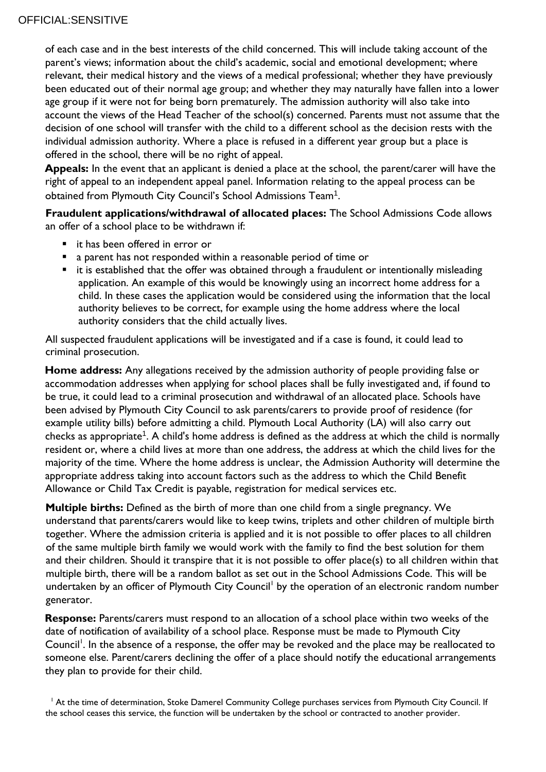of each case and in the best interests of the child concerned. This will include taking account of the parent's views; information about the child's academic, social and emotional development; where relevant, their medical history and the views of a medical professional; whether they have previously been educated out of their normal age group; and whether they may naturally have fallen into a lower age group if it were not for being born prematurely. The admission authority will also take into account the views of the Head Teacher of the school(s) concerned. Parents must not assume that the decision of one school will transfer with the child to a different school as the decision rests with the individual admission authority. Where a place is refused in a different year group but a place is offered in the school, there will be no right of appeal.

**Appeals:** In the event that an applicant is denied a place at the school, the parent/carer will have the right of appeal to an independent appeal panel. Information relating to the appeal process can be obtained from Plymouth City Council's School Admissions Team $^{\rm 1}$ .

**Fraudulent applications/withdrawal of allocated places:** The School Admissions Code allows an offer of a school place to be withdrawn if:

- it has been offered in error or
- a parent has not responded within a reasonable period of time or
- $\blacksquare$  it is established that the offer was obtained through a fraudulent or intentionally misleading application. An example of this would be knowingly using an incorrect home address for a child. In these cases the application would be considered using the information that the local authority believes to be correct, for example using the home address where the local authority considers that the child actually lives.

All suspected fraudulent applications will be investigated and if a case is found, it could lead to criminal prosecution.

**Home address:** Any allegations received by the admission authority of people providing false or accommodation addresses when applying for school places shall be fully investigated and, if found to be true, it could lead to a criminal prosecution and withdrawal of an allocated place. Schools have been advised by Plymouth City Council to ask parents/carers to provide proof of residence (for example utility bills) before admitting a child. Plymouth Local Authority (LA) will also carry out checks as appropriate<sup>1</sup>. A child's home address is defined as the address at which the child is normally resident or, where a child lives at more than one address, the address at which the child lives for the majority of the time. Where the home address is unclear, the Admission Authority will determine the appropriate address taking into account factors such as the address to which the Child Benefit Allowance or Child Tax Credit is payable, registration for medical services etc.

**Multiple births:** Defined as the birth of more than one child from a single pregnancy. We understand that parents/carers would like to keep twins, triplets and other children of multiple birth together. Where the admission criteria is applied and it is not possible to offer places to all children of the same multiple birth family we would work with the family to find the best solution for them and their children. Should it transpire that it is not possible to offer place(s) to all children within that multiple birth, there will be a random ballot as set out in the School Admissions Code. This will be undertaken by an officer of Plymouth City Council<sup>l</sup> by the operation of an electronic random number generator.

**Response:** Parents/carers must respond to an allocation of a school place within two weeks of the date of notification of availability of a school place. Response must be made to Plymouth City Council<sup>1</sup>. In the absence of a response, the offer may be revoked and the place may be reallocated to someone else. Parent/carers declining the offer of a place should notify the educational arrangements they plan to provide for their child.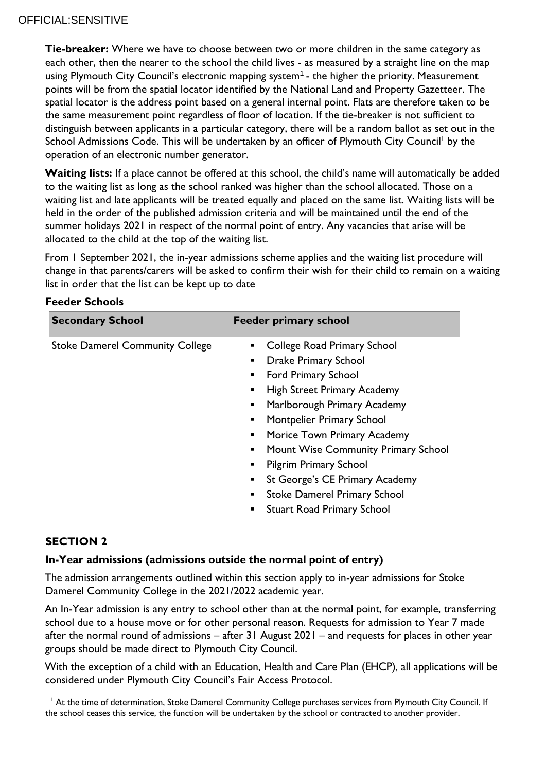**Tie-breaker:** Where we have to choose between two or more children in the same category as each other, then the nearer to the school the child lives - as measured by a straight line on the map using Plymouth City Council's electronic mapping system $^{\mathsf{1}}$  - the higher the priority. Measurement points will be from the spatial locator identified by the National Land and Property Gazetteer. The spatial locator is the address point based on a general internal point. Flats are therefore taken to be the same measurement point regardless of floor of location. If the tie-breaker is not sufficient to distinguish between applicants in a particular category, there will be a random ballot as set out in the School Admissions Code. This will be undertaken by an officer of Plymouth City Council<sup>'</sup> by the operation of an electronic number generator.

Waiting lists: If a place cannot be offered at this school, the child's name will automatically be added to the waiting list as long as the school ranked was higher than the school allocated. Those on a waiting list and late applicants will be treated equally and placed on the same list. Waiting lists will be held in the order of the published admission criteria and will be maintained until the end of the summer holidays 2021 in respect of the normal point of entry. Any vacancies that arise will be allocated to the child at the top of the waiting list.

From 1 September 2021, the in-year admissions scheme applies and the waiting list procedure will change in that parents/carers will be asked to confirm their wish for their child to remain on a waiting list in order that the list can be kept up to date

| <b>Secondary School</b>                | <b>Feeder primary school</b>                          |
|----------------------------------------|-------------------------------------------------------|
| <b>Stoke Damerel Community College</b> | College Road Primary School                           |
|                                        | <b>Drake Primary School</b><br>٠                      |
|                                        | <b>Ford Primary School</b><br>٠                       |
|                                        | <b>High Street Primary Academy</b><br>٠               |
|                                        | Marlborough Primary Academy<br>٠                      |
|                                        | Montpelier Primary School<br>٠                        |
|                                        | Morice Town Primary Academy<br>$\blacksquare$         |
|                                        | Mount Wise Community Primary School<br>٠              |
|                                        | <b>Pilgrim Primary School</b><br>٠                    |
|                                        | St George's CE Primary Academy<br>$\blacksquare$      |
|                                        | <b>Stoke Damerel Primary School</b><br>$\blacksquare$ |
|                                        | <b>Stuart Road Primary School</b>                     |

## **Feeder Schools**

# **SECTION 2**

## **In-Year admissions (admissions outside the normal point of entry)**

The admission arrangements outlined within this section apply to in-year admissions for Stoke Damerel Community College in the 2021/2022 academic year.

An In-Year admission is any entry to school other than at the normal point, for example, transferring school due to a house move or for other personal reason. Requests for admission to Year 7 made after the normal round of admissions – after 31 August 2021 – and requests for places in other year groups should be made direct to Plymouth City Council.

With the exception of a child with an Education, Health and Care Plan (EHCP), all applications will be considered under Plymouth City Council's Fair Access Protocol.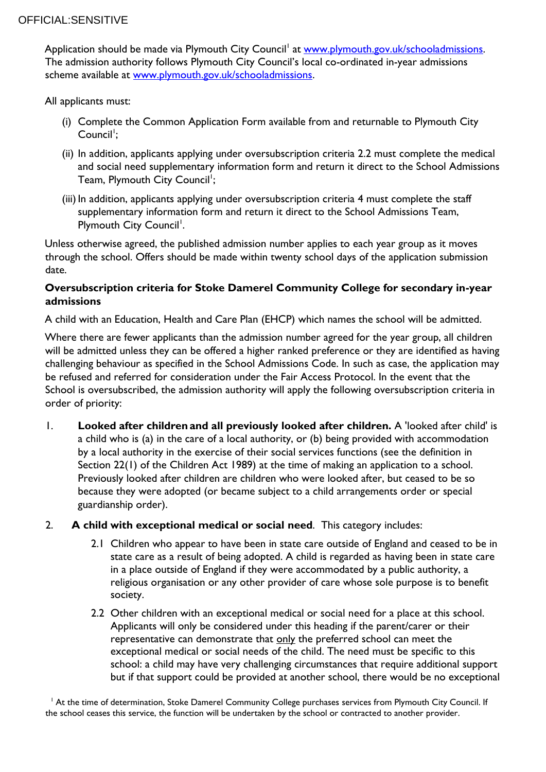Application should be made via Plymouth City Council<sup>l</sup> at <u>www.plymouth.gov.uk/schooladmissions</u>. The admission authority follows Plymouth City Council's local co-ordinated in-year admissions scheme available at [www.plymouth.gov.uk/schooladmissions.](http://www.plymouth.gov.uk/schooladmissions)

All applicants must:

- (i) Complete the Common Application Form available from and returnable to Plymouth City Council<sup>1</sup>;
- (ii) In addition, applicants applying under oversubscription criteria 2.2 must complete the medical and social need supplementary information form and return it direct to the School Admissions Team, Plymouth City Council';
- (iii) In addition, applicants applying under oversubscription criteria 4 must complete the staff supplementary information form and return it direct to the School Admissions Team, Plymouth City Council<sup>1</sup>.

Unless otherwise agreed, the published admission number applies to each year group as it moves through the school. Offers should be made within twenty school days of the application submission date.

# **Oversubscription criteria for Stoke Damerel Community College for secondary in-year admissions**

A child with an Education, Health and Care Plan (EHCP) which names the school will be admitted.

Where there are fewer applicants than the admission number agreed for the year group, all children will be admitted unless they can be offered a higher ranked preference or they are identified as having challenging behaviour as specified in the School Admissions Code. In such as case, the application may be refused and referred for consideration under the Fair Access Protocol. In the event that the School is oversubscribed, the admission authority will apply the following oversubscription criteria in order of priority:

- 1. **Looked after children and all previously looked after children.** A 'looked after child' is a child who is (a) in the care of a local authority, or (b) being provided with accommodation by a local authority in the exercise of their social services functions (see the definition in Section 22(1) of the Children Act 1989) at the time of making an application to a school. Previously looked after children are children who were looked after, but ceased to be so because they were adopted (or became subject to a child arrangements order or special guardianship order).
- 2. **A child with exceptional medical or social need**. This category includes:
	- 2.1 Children who appear to have been in state care outside of England and ceased to be in state care as a result of being adopted. A child is regarded as having been in state care in a place outside of England if they were accommodated by a public authority, a religious organisation or any other provider of care whose sole purpose is to benefit society.
	- 2.2 Other children with an exceptional medical or social need for a place at this school. Applicants will only be considered under this heading if the parent/carer or their representative can demonstrate that only the preferred school can meet the exceptional medical or social needs of the child. The need must be specific to this school: a child may have very challenging circumstances that require additional support but if that support could be provided at another school, there would be no exceptional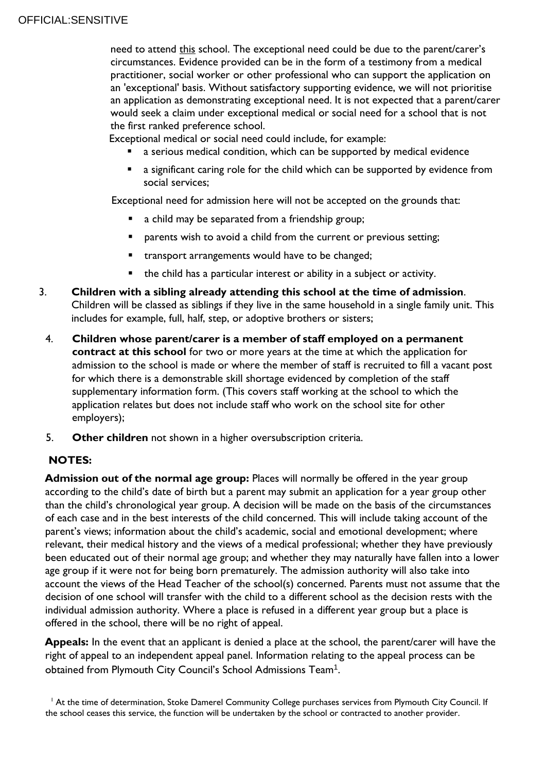need to attend this school. The exceptional need could be due to the parent/carer's circumstances. Evidence provided can be in the form of a testimony from a medical practitioner, social worker or other professional who can support the application on an 'exceptional' basis. Without satisfactory supporting evidence, we will not prioritise an application as demonstrating exceptional need. It is not expected that a parent/carer would seek a claim under exceptional medical or social need for a school that is not the first ranked preference school.

Exceptional medical or social need could include, for example:

- a serious medical condition, which can be supported by medical evidence
- **a** a significant caring role for the child which can be supported by evidence from social services;

Exceptional need for admission here will not be accepted on the grounds that:

- a child may be separated from a friendship group;
- **P** parents wish to avoid a child from the current or previous setting;
- transport arrangements would have to be changed;
- the child has a particular interest or ability in a subject or activity.
- 3. **Children with a sibling already attending this school at the time of admission**. Children will be classed as siblings if they live in the same household in a single family unit. This includes for example, full, half, step, or adoptive brothers or sisters;
	- 4. **Children whose parent/carer is a member of staff employed on a permanent contract at this school** for two or more years at the time at which the application for admission to the school is made or where the member of staff is recruited to fill a vacant post for which there is a demonstrable skill shortage evidenced by completion of the staff supplementary information form. (This covers staff working at the school to which the application relates but does not include staff who work on the school site for other employers);
	- 5. **Other children** not shown in a higher oversubscription criteria.

# **NOTES:**

**Admission out of the normal age group:** Places will normally be offered in the year group according to the child's date of birth but a parent may submit an application for a year group other than the child's chronological year group. A decision will be made on the basis of the circumstances of each case and in the best interests of the child concerned. This will include taking account of the parent's views; information about the child's academic, social and emotional development; where relevant, their medical history and the views of a medical professional; whether they have previously been educated out of their normal age group; and whether they may naturally have fallen into a lower age group if it were not for being born prematurely. The admission authority will also take into account the views of the Head Teacher of the school(s) concerned. Parents must not assume that the decision of one school will transfer with the child to a different school as the decision rests with the individual admission authority. Where a place is refused in a different year group but a place is offered in the school, there will be no right of appeal.

**Appeals:** In the event that an applicant is denied a place at the school, the parent/carer will have the right of appeal to an independent appeal panel. Information relating to the appeal process can be obtained from Plymouth City Council's School Admissions Team<sup>1</sup>.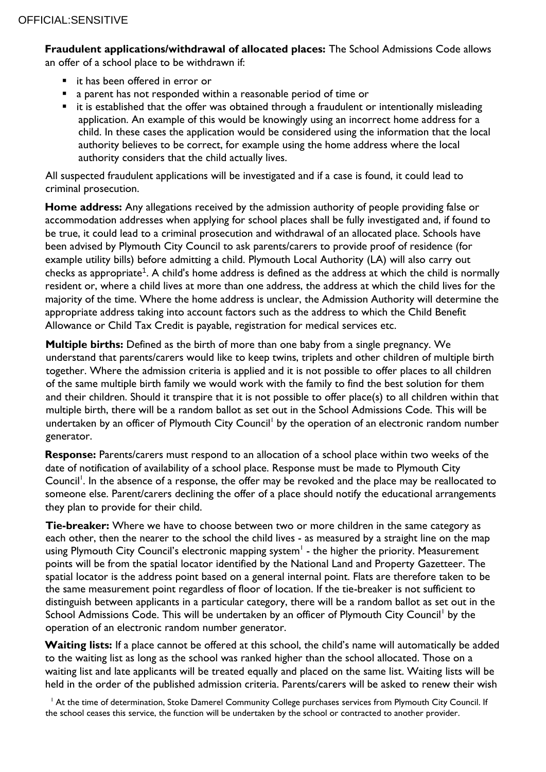**Fraudulent applications/withdrawal of allocated places:** The School Admissions Code allows an offer of a school place to be withdrawn if:

- it has been offered in error or
- a parent has not responded within a reasonable period of time or
- $\blacksquare$  it is established that the offer was obtained through a fraudulent or intentionally misleading application. An example of this would be knowingly using an incorrect home address for a child. In these cases the application would be considered using the information that the local authority believes to be correct, for example using the home address where the local authority considers that the child actually lives.

All suspected fraudulent applications will be investigated and if a case is found, it could lead to criminal prosecution.

**Home address:** Any allegations received by the admission authority of people providing false or accommodation addresses when applying for school places shall be fully investigated and, if found to be true, it could lead to a criminal prosecution and withdrawal of an allocated place. Schools have been advised by Plymouth City Council to ask parents/carers to provide proof of residence (for example utility bills) before admitting a child. Plymouth Local Authority (LA) will also carry out checks as appropriate $^{\rm 1}$ . A child's home address is defined as the address at which the child is normally resident or, where a child lives at more than one address, the address at which the child lives for the majority of the time. Where the home address is unclear, the Admission Authority will determine the appropriate address taking into account factors such as the address to which the Child Benefit Allowance or Child Tax Credit is payable, registration for medical services etc.

**Multiple births:** Defined as the birth of more than one baby from a single pregnancy. We understand that parents/carers would like to keep twins, triplets and other children of multiple birth together. Where the admission criteria is applied and it is not possible to offer places to all children of the same multiple birth family we would work with the family to find the best solution for them and their children. Should it transpire that it is not possible to offer place(s) to all children within that multiple birth, there will be a random ballot as set out in the School Admissions Code. This will be undertaken by an officer of Plymouth City Council<sup>l</sup> by the operation of an electronic random number generator.

**Response:** Parents/carers must respond to an allocation of a school place within two weeks of the date of notification of availability of a school place. Response must be made to Plymouth City Council<sup>1</sup>. In the absence of a response, the offer may be revoked and the place may be reallocated to someone else. Parent/carers declining the offer of a place should notify the educational arrangements they plan to provide for their child.

**Tie-breaker:** Where we have to choose between two or more children in the same category as each other, then the nearer to the school the child lives - as measured by a straight line on the map using Plymouth City Council's electronic mapping system $^{\mathsf{I}}$  - the higher the priority. Measurement points will be from the spatial locator identified by the National Land and Property Gazetteer. The spatial locator is the address point based on a general internal point. Flats are therefore taken to be the same measurement point regardless of floor of location. If the tie-breaker is not sufficient to distinguish between applicants in a particular category, there will be a random ballot as set out in the School Admissions Code. This will be undertaken by an officer of Plymouth City Council<sup>1</sup> by the operation of an electronic random number generator.

Waiting lists: If a place cannot be offered at this school, the child's name will automatically be added to the waiting list as long as the school was ranked higher than the school allocated. Those on a waiting list and late applicants will be treated equally and placed on the same list. Waiting lists will be held in the order of the published admission criteria. Parents/carers will be asked to renew their wish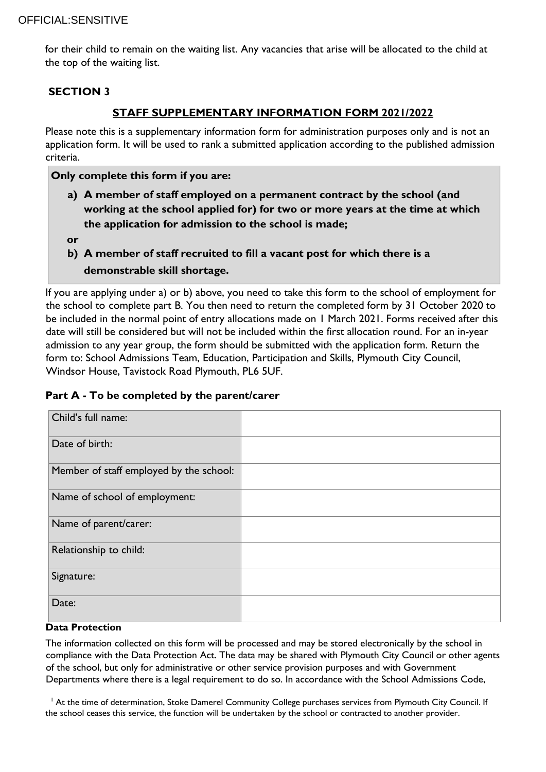for their child to remain on the waiting list. Any vacancies that arise will be allocated to the child at the top of the waiting list.

## **SECTION 3**

# **STAFF SUPPLEMENTARY INFORMATION FORM 2021/2022**

Please note this is a supplementary information form for administration purposes only and is not an application form. It will be used to rank a submitted application according to the published admission criteria.

**Only complete this form if you are:**

- **a) A member of staff employed on a permanent contract by the school (and working at the school applied for) for two or more years at the time at which the application for admission to the school is made;**
- **or**
- **b) A member of staff recruited to fill a vacant post for which there is a**
	- **demonstrable skill shortage.**

If you are applying under a) or b) above, you need to take this form to the school of employment for the school to complete part B. You then need to return the completed form by 31 October 2020 to be included in the normal point of entry allocations made on 1 March 2021. Forms received after this date will still be considered but will not be included within the first allocation round. For an in-year admission to any year group, the form should be submitted with the application form. Return the form to: School Admissions Team, Education, Participation and Skills, Plymouth City Council, Windsor House, Tavistock Road Plymouth, PL6 5UF.

## **Part A - To be completed by the parent/carer**

| Child's full name:                      |  |
|-----------------------------------------|--|
| Date of birth:                          |  |
| Member of staff employed by the school: |  |
| Name of school of employment:           |  |
| Name of parent/carer:                   |  |
| Relationship to child:                  |  |
| Signature:                              |  |
| Date:                                   |  |

#### **Data Protection**

The information collected on this form will be processed and may be stored electronically by the school in compliance with the Data Protection Act. The data may be shared with Plymouth City Council or other agents of the school, but only for administrative or other service provision purposes and with Government Departments where there is a legal requirement to do so. In accordance with the School Admissions Code,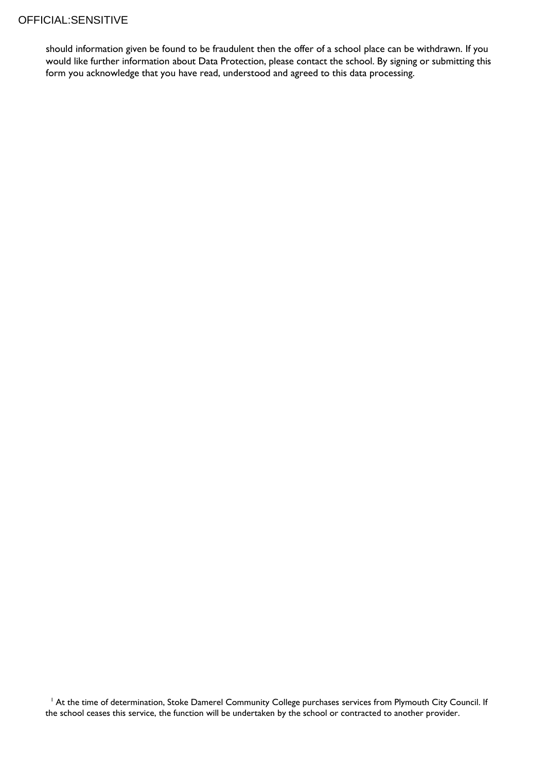should information given be found to be fraudulent then the offer of a school place can be withdrawn. If you would like further information about Data Protection, please contact the school. By signing or submitting this form you acknowledge that you have read, understood and agreed to this data processing.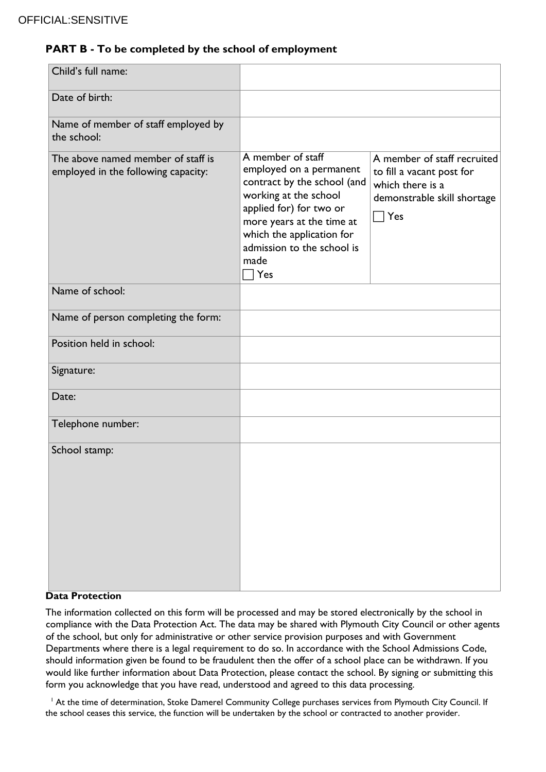# **PART B - To be completed by the school of employment**

| Child's full name:                                                        |                                                                                                                                                                                                                                               |                                                                                                                                |
|---------------------------------------------------------------------------|-----------------------------------------------------------------------------------------------------------------------------------------------------------------------------------------------------------------------------------------------|--------------------------------------------------------------------------------------------------------------------------------|
| Date of birth:                                                            |                                                                                                                                                                                                                                               |                                                                                                                                |
| Name of member of staff employed by<br>the school:                        |                                                                                                                                                                                                                                               |                                                                                                                                |
| The above named member of staff is<br>employed in the following capacity: | A member of staff<br>employed on a permanent<br>contract by the school (and<br>working at the school<br>applied for) for two or<br>more years at the time at<br>which the application for<br>admission to the school is<br>made<br>$\Box$ Yes | A member of staff recruited<br>to fill a vacant post for<br>which there is a<br>demonstrable skill shortage<br>$\sqsupset$ Yes |
| Name of school:                                                           |                                                                                                                                                                                                                                               |                                                                                                                                |
| Name of person completing the form:                                       |                                                                                                                                                                                                                                               |                                                                                                                                |
| Position held in school:                                                  |                                                                                                                                                                                                                                               |                                                                                                                                |
| Signature:                                                                |                                                                                                                                                                                                                                               |                                                                                                                                |
| Date:                                                                     |                                                                                                                                                                                                                                               |                                                                                                                                |
| Telephone number:                                                         |                                                                                                                                                                                                                                               |                                                                                                                                |
| School stamp:                                                             |                                                                                                                                                                                                                                               |                                                                                                                                |

#### **Data Protection**

The information collected on this form will be processed and may be stored electronically by the school in compliance with the Data Protection Act. The data may be shared with Plymouth City Council or other agents of the school, but only for administrative or other service provision purposes and with Government Departments where there is a legal requirement to do so. In accordance with the School Admissions Code, should information given be found to be fraudulent then the offer of a school place can be withdrawn. If you would like further information about Data Protection, please contact the school. By signing or submitting this form you acknowledge that you have read, understood and agreed to this data processing.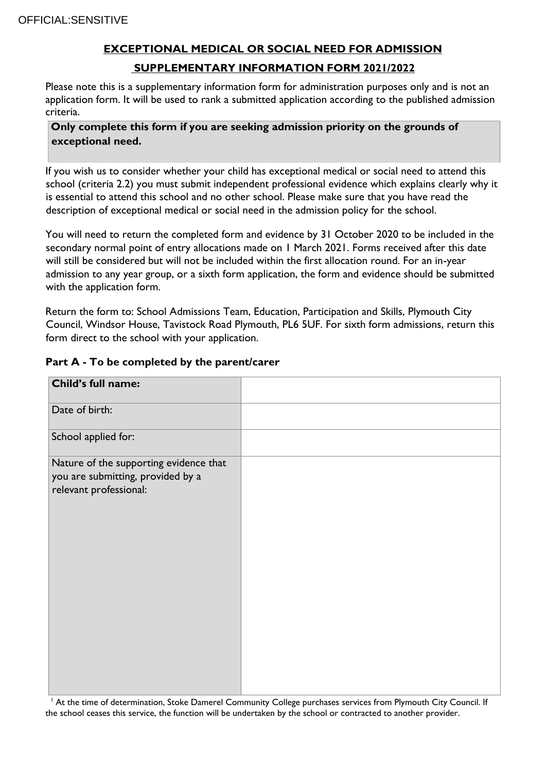# **EXCEPTIONAL MEDICAL OR SOCIAL NEED FOR ADMISSION SUPPLEMENTARY INFORMATION FORM 2021/2022**

Please note this is a supplementary information form for administration purposes only and is not an application form. It will be used to rank a submitted application according to the published admission criteria.

## **Only complete this form if you are seeking admission priority on the grounds of exceptional need.**

If you wish us to consider whether your child has exceptional medical or social need to attend this school (criteria 2.2) you must submit independent professional evidence which explains clearly why it is essential to attend this school and no other school. Please make sure that you have read the description of exceptional medical or social need in the admission policy for the school.

You will need to return the completed form and evidence by 31 October 2020 to be included in the secondary normal point of entry allocations made on 1 March 2021. Forms received after this date will still be considered but will not be included within the first allocation round. For an in-year admission to any year group, or a sixth form application, the form and evidence should be submitted with the application form.

Return the form to: School Admissions Team, Education, Participation and Skills, Plymouth City Council, Windsor House, Tavistock Road Plymouth, PL6 5UF. For sixth form admissions, return this form direct to the school with your application.

| art A - To be completed by the parent/carer'                                                          |  |  |  |
|-------------------------------------------------------------------------------------------------------|--|--|--|
| Child's full name:                                                                                    |  |  |  |
| Date of birth:                                                                                        |  |  |  |
| School applied for:                                                                                   |  |  |  |
| Nature of the supporting evidence that<br>you are submitting, provided by a<br>relevant professional: |  |  |  |

# **Part A - To be completed by the parent/carer**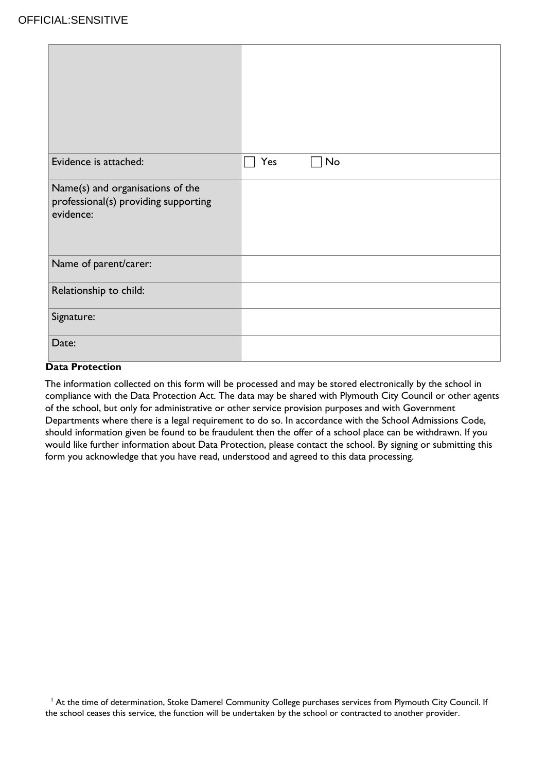| Evidence is attached:                                                                 | Yes<br>No |
|---------------------------------------------------------------------------------------|-----------|
| Name(s) and organisations of the<br>professional(s) providing supporting<br>evidence: |           |
| Name of parent/carer:                                                                 |           |
| Relationship to child:                                                                |           |
| Signature:                                                                            |           |
| Date:                                                                                 |           |

### **Data Protection**

The information collected on this form will be processed and may be stored electronically by the school in compliance with the Data Protection Act. The data may be shared with Plymouth City Council or other agents of the school, but only for administrative or other service provision purposes and with Government Departments where there is a legal requirement to do so. In accordance with the School Admissions Code, should information given be found to be fraudulent then the offer of a school place can be withdrawn. If you would like further information about Data Protection, please contact the school. By signing or submitting this form you acknowledge that you have read, understood and agreed to this data processing.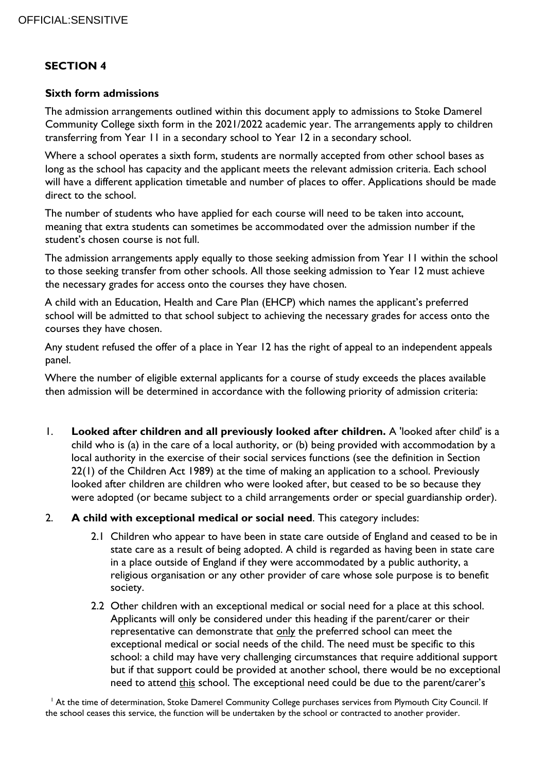# **SECTION 4**

#### **Sixth form admissions**

The admission arrangements outlined within this document apply to admissions to Stoke Damerel Community College sixth form in the 2021/2022 academic year. The arrangements apply to children transferring from Year 11 in a secondary school to Year 12 in a secondary school.

Where a school operates a sixth form, students are normally accepted from other school bases as long as the school has capacity and the applicant meets the relevant admission criteria. Each school will have a different application timetable and number of places to offer. Applications should be made direct to the school.

The number of students who have applied for each course will need to be taken into account, meaning that extra students can sometimes be accommodated over the admission number if the student's chosen course is not full.

The admission arrangements apply equally to those seeking admission from Year 11 within the school to those seeking transfer from other schools. All those seeking admission to Year 12 must achieve the necessary grades for access onto the courses they have chosen.

A child with an Education, Health and Care Plan (EHCP) which names the applicant's preferred school will be admitted to that school subject to achieving the necessary grades for access onto the courses they have chosen.

Any student refused the offer of a place in Year 12 has the right of appeal to an independent appeals panel.

Where the number of eligible external applicants for a course of study exceeds the places available then admission will be determined in accordance with the following priority of admission criteria:

- 1. **Looked after children and all previously looked after children.** A 'looked after child' is a child who is (a) in the care of a local authority, or (b) being provided with accommodation by a local authority in the exercise of their social services functions (see the definition in Section 22(1) of the Children Act 1989) at the time of making an application to a school. Previously looked after children are children who were looked after, but ceased to be so because they were adopted (or became subject to a child arrangements order or special guardianship order).
- 2. **A child with exceptional medical or social need**. This category includes:
	- 2.1 Children who appear to have been in state care outside of England and ceased to be in state care as a result of being adopted. A child is regarded as having been in state care in a place outside of England if they were accommodated by a public authority, a religious organisation or any other provider of care whose sole purpose is to benefit society.
	- 2.2 Other children with an exceptional medical or social need for a place at this school. Applicants will only be considered under this heading if the parent/carer or their representative can demonstrate that only the preferred school can meet the exceptional medical or social needs of the child. The need must be specific to this school: a child may have very challenging circumstances that require additional support but if that support could be provided at another school, there would be no exceptional need to attend this school. The exceptional need could be due to the parent/carer's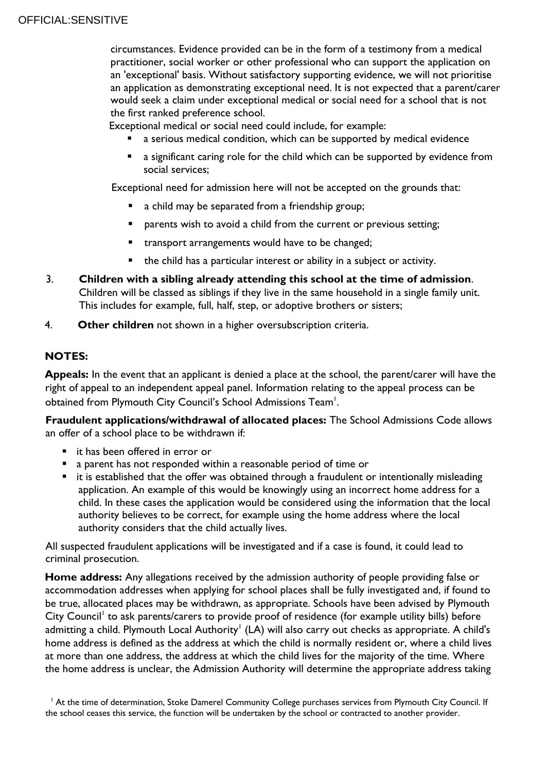circumstances. Evidence provided can be in the form of a testimony from a medical practitioner, social worker or other professional who can support the application on an 'exceptional' basis. Without satisfactory supporting evidence, we will not prioritise an application as demonstrating exceptional need. It is not expected that a parent/carer would seek a claim under exceptional medical or social need for a school that is not the first ranked preference school.

Exceptional medical or social need could include, for example:

- a serious medical condition, which can be supported by medical evidence
- a significant caring role for the child which can be supported by evidence from social services;

Exceptional need for admission here will not be accepted on the grounds that:

- a child may be separated from a friendship group;
- **P** parents wish to avoid a child from the current or previous setting;
- **\*** transport arrangements would have to be changed;
- the child has a particular interest or ability in a subject or activity.
- 3. **Children with a sibling already attending this school at the time of admission**. Children will be classed as siblings if they live in the same household in a single family unit. This includes for example, full, half, step, or adoptive brothers or sisters;
- 4. **Other children** not shown in a higher oversubscription criteria.

# **NOTES:**

**Appeals:** In the event that an applicant is denied a place at the school, the parent/carer will have the right of appeal to an independent appeal panel. Information relating to the appeal process can be obtained from Plymouth City Council's School Admissions Team<sup>1</sup>.

**Fraudulent applications/withdrawal of allocated places:** The School Admissions Code allows an offer of a school place to be withdrawn if:

- it has been offered in error or
- a parent has not responded within a reasonable period of time or
- **E** it is established that the offer was obtained through a fraudulent or intentionally misleading application. An example of this would be knowingly using an incorrect home address for a child. In these cases the application would be considered using the information that the local authority believes to be correct, for example using the home address where the local authority considers that the child actually lives.

All suspected fraudulent applications will be investigated and if a case is found, it could lead to criminal prosecution.

**Home address:** Any allegations received by the admission authority of people providing false or accommodation addresses when applying for school places shall be fully investigated and, if found to be true, allocated places may be withdrawn, as appropriate. Schools have been advised by Plymouth City Council<sup>1</sup> to ask parents/carers to provide proof of residence (for example utility bills) before admitting a child. Plymouth Local Authority' (LA) will also carry out checks as appropriate. A child's home address is defined as the address at which the child is normally resident or, where a child lives at more than one address, the address at which the child lives for the majority of the time. Where the home address is unclear, the Admission Authority will determine the appropriate address taking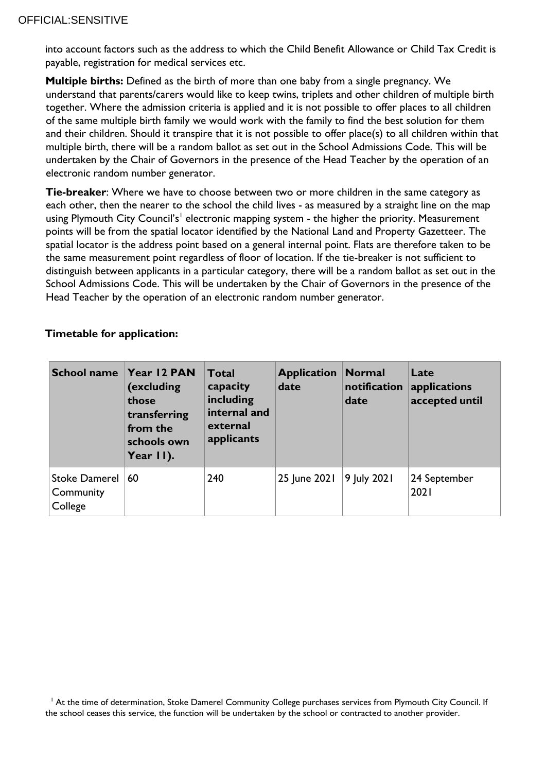into account factors such as the address to which the Child Benefit Allowance or Child Tax Credit is payable, registration for medical services etc.

**Multiple births:** Defined as the birth of more than one baby from a single pregnancy. We understand that parents/carers would like to keep twins, triplets and other children of multiple birth together. Where the admission criteria is applied and it is not possible to offer places to all children of the same multiple birth family we would work with the family to find the best solution for them and their children. Should it transpire that it is not possible to offer place(s) to all children within that multiple birth, there will be a random ballot as set out in the School Admissions Code. This will be undertaken by the Chair of Governors in the presence of the Head Teacher by the operation of an electronic random number generator.

**Tie-breaker**: Where we have to choose between two or more children in the same category as each other, then the nearer to the school the child lives - as measured by a straight line on the map using Plymouth City Council's $^{\rm l}$  electronic mapping system - the higher the priority. Measurement points will be from the spatial locator identified by the National Land and Property Gazetteer. The spatial locator is the address point based on a general internal point. Flats are therefore taken to be the same measurement point regardless of floor of location. If the tie-breaker is not sufficient to distinguish between applicants in a particular category, there will be a random ballot as set out in the School Admissions Code. This will be undertaken by the Chair of Governors in the presence of the Head Teacher by the operation of an electronic random number generator.

| <b>School name</b>                           | Year 12 PAN<br>(excluding<br>those<br>transferring<br>from the<br>schools own<br>Year $  \cdot  $ . | <b>Total</b><br>capacity<br>including<br>internal and<br>external<br>applicants | <b>Application</b><br>date | <b>Normal</b><br>notification<br>date | Late<br>applications<br>accepted until |
|----------------------------------------------|-----------------------------------------------------------------------------------------------------|---------------------------------------------------------------------------------|----------------------------|---------------------------------------|----------------------------------------|
| <b>Stoke Damerel</b><br>Community<br>College | 60                                                                                                  | 240                                                                             | 25 June 2021 9 July 2021   |                                       | 24 September<br>2021                   |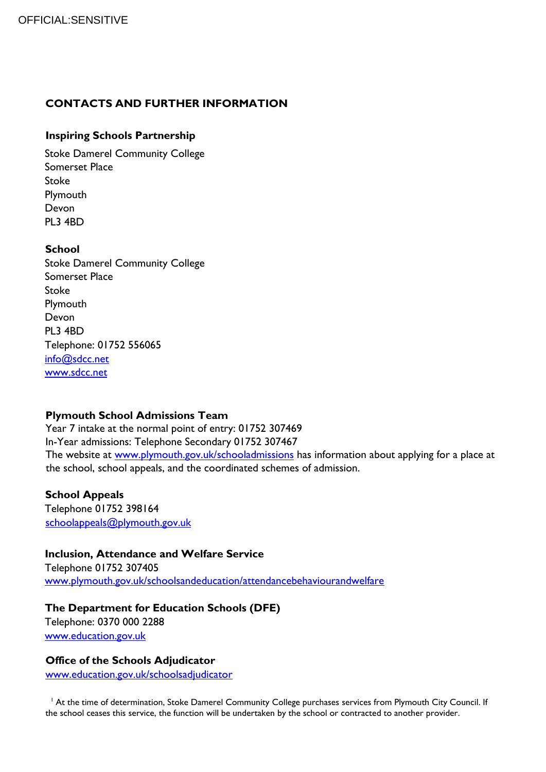# **CONTACTS AND FURTHER INFORMATION**

## **Inspiring Schools Partnership**

Stoke Damerel Community College Somerset Place Stoke Plymouth Devon PL3 4BD

#### **School**

Stoke Damerel Community College Somerset Place Stoke Plymouth Devon PL3 4BD Telephone: 01752 556065 [info@sdcc.net](mailto:info@sdcc.net) [www.sdcc.net](http://www.sdcc.net/)

## **Plymouth School Admissions Team**

Year 7 intake at the normal point of entry: 01752 307469 In-Year admissions: Telephone Secondary 01752 307467 The website at [www.plymouth.gov.uk/schooladmissions](http://www.plymouth.gov.uk/schooladmissions) has information about applying for a place at the school, school appeals, and the coordinated schemes of admission.

## **School Appeals**

Telephone 01752 398164 [schoolappeals@plymouth.gov.uk](mailto:schoolappeals@plymouth.gov.uk)

## **Inclusion, Attendance and Welfare Service**

Telephone 01752 307405 [www.plymouth.gov.uk/schoolsandeducation/attendancebehaviourandwelfare](http://www.plymouth.gov.uk/schoolsandeducation/attendancebehaviourandwelfare)

## **The Department for Education Schools (DFE)**

Telephone: 0370 000 2288 [www.education.gov.uk](http://www.education.gov.uk/)

## **Office of the Schools Adjudicator**

[www.education.gov.uk/schoolsadjudicator](http://www.education.gov.uk/schoolsadjudicator)